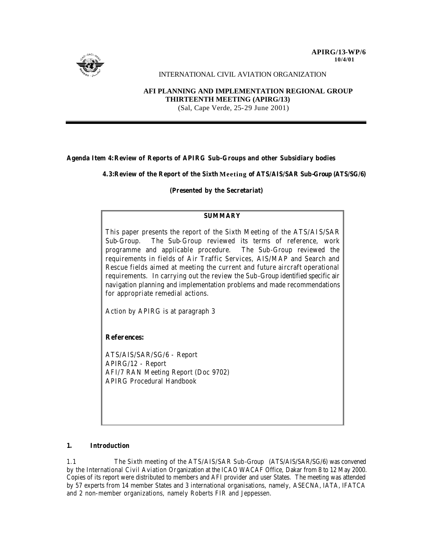

# INTERNATIONAL CIVIL AVIATION ORGANIZATION

# **AFI PLANNING AND IMPLEMENTATION REGIONAL GROUP THIRTEENTH MEETING (APIRG/13)** (Sal, Cape Verde, 25-29 June 2001)

# **Agenda Item 4:Review of Reports of APIRG Sub-Groups and other Subsidiary bodies**

**4.3:Review of the Report of the Sixth Meeting of ATS/AIS/SAR Sub-Group (ATS/SG/6)**

# **(Presented by the Secretariat)**

# **SUMMARY**

This paper presents the report of the Sixth Meeting of the ATS/AIS/SAR Sub-Group. The Sub-Group reviewed its terms of reference, work programme and applicable procedure. The Sub-Group reviewed the requirements in fields of Air Traffic Services, AIS/MAP and Search and Rescue fields aimed at meeting the current and future aircraft operational requirements. In carrying out the review the Sub-Group identified specific air navigation planning and implementation problems and made recommendations for appropriate remedial actions.

Action by APIRG is at paragraph 3

# **References:**

ATS/AIS/SAR/SG/6 - Report APIRG/12 - Report AFI/7 RAN Meeting Report (Doc 9702) APIRG Procedural Handbook

# **1. Introduction**

1.1 The Sixth meeting of the ATS/AIS/SAR Sub-Group (ATS/AIS/SAR/SG/6) was convened by the International Civil Aviation Organization at the ICAO WACAF Office, Dakar from 8 to 12 May 2000. Copies of its report were distributed to members and AFI provider and user States. The meeting was attended by 57 experts from 14 member States and 3 international organisations, namely, ASECNA, IATA, IFATCA and 2 non-member organizations, namely Roberts FIR and Jeppessen.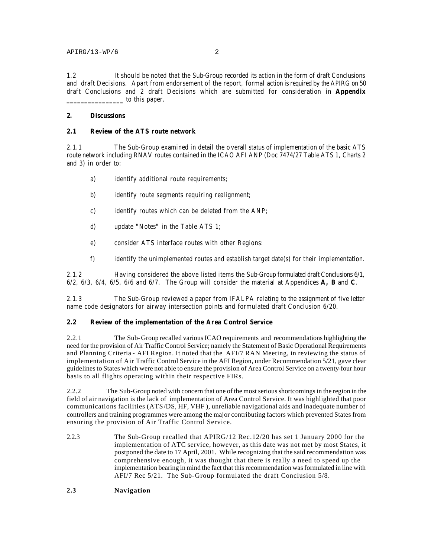1.2 It should be noted that the Sub-Group recorded its action in the form of draft Conclusions and draft Decisions. Apart from endorsement of the report, formal action is required by the APIRG on 50 draft Conclusions and 2 draft Decisions which are submitted for consideration in **Appendix \_\_\_\_\_\_\_\_\_\_\_\_\_\_\_\_** to this paper.

#### **2. Discussions**

### **2.1 Review of the ATS route network**

2.1.1 The Sub-Group examined in detail the o verall status of implementation of the basic ATS route network including RNAV routes contained in the ICAO AFI ANP (Doc 7474/27 Table ATS 1, Charts 2 and 3) in order to:

- a) identify additional route requirements;
- b) identify route segments requiring realignment;
- c) identify routes which can be deleted from the ANP;
- d) update "Notes" in the Table ATS 1;
- e) consider ATS interface routes with other Regions:
- f) identify the unimplemented routes and establish target date(s) for their implementation.

2.1.2 Having considered the above listed items the Sub-Group formulated draft Conclusions 6/1, 6/2, 6/3, 6/4, 6/5, 6/6 and 6/7. The Group will consider the material at Appendices **A, B** and **C**.

2.1.3 The Sub-Group reviewed a paper from IFALPA relating to the assignment of five letter name code designators for airway intersection points and formulated draft Conclusion 6/20.

### **2.2 Review of the implementation of the Area Control Service**

2.2.1 The Sub-Group recalled various ICAO requirements and recommendations highlighting the need for the provision of Air Traffic Control Service; namely the Statement of Basic Operational Requirements and Planning Criteria - AFI Region. It noted that the AFI/7 RAN Meeting, in reviewing the status of implementation of Air Traffic Control Service in the AFI Region, under Recommendation 5/21, gave clear guidelines to States which were not able to ensure the provision of Area Control Service on a twenty-four hour basis to all flights operating within their respective FIRs.

2.2.2 The Sub-Group noted with concern that one of the most serious shortcomings in the region in the field of air navigation is the lack of implementation of Area Control Service. It was highlighted that poor communications facilities (ATS/DS, HF, VHF ), unreliable navigational aids and inadequate number of controllers and training programmes were among the major contributing factors which prevented States from ensuring the provision of Air Traffic Control Service.

2.2.3 The Sub-Group recalled that APIRG/12 Rec.12/20 has set 1 January 2000 for the implementation of ATC service, however, as this date was not met by most States, it postponed the date to 17 April, 2001. While recognizing that the said recommendation was comprehensive enough, it was thought that there is really a need to speed up the implementation bearing in mind the fact that this recommendation was formulated in line with AFI/7 Rec 5/21. The Sub-Group formulated the draft Conclusion 5/8.

### **2.3 Navigation**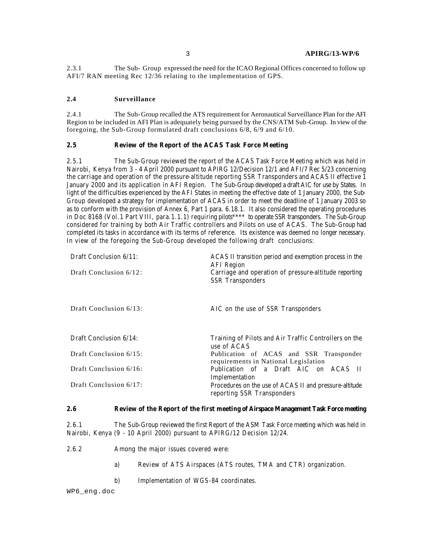2.3.1 The Sub- Group expressed the need for the ICAO Regional Offices concerned to follow up AFI/7 RAN meeting Rec 12/36 relating to the implementation of GPS.

### **2.4 Surveillance**

2.4.1 The Sub-Group recalled the ATS requirement for Aeronautical Surveillance Plan for the AFI Region to be included in AFI Plan is adequately being pursued by the CNS/ATM Sub-Group. In view of the foregoing, the Sub-Group formulated draft conclusions 6/8, 6/9 and 6/10.

#### **2.5 Review of the Report of the ACAS Task Force Meeting**

2.5.1 The Sub-Group reviewed the report of the ACAS Task Force Meeting which was held in Nairobi, Kenya from 3 - 4 April 2000 pursuant to APIRG 12/Decision 12/1 and AFI/7 Rec 5/23 concerning the carriage and operation of the pressure-altitude reporting SSR Transponders and ACAS II effective 1 January 2000 and its application in AFI Region. The Sub-Group developed a draft AIC for use by States. In light of the difficulties experienced by the AFI States in meeting the effective date of 1 January 2000, the Sub-Group developed a strategy for implementation of ACAS in order to meet the deadline of 1 January 2003 so as to conform with the provision of Annex 6, Part 1 para. 6.18.1. It also considered the operating procedures in Doc 8168 (Vol.1 Part VIII, para.1.1.1) requiring pilots\*\*\*\* to operate SSR transponders. The Sub-Group considered for training by both Air Traffic controllers and Pilots on use of ACAS. The Sub-Group had completed its tasks in accordance with its terms of reference. Its existence was deemed no longer necessary. In view of the foregoing the Sub-Group developed the following draft conclusions:

| Draft Conclusion 6/11: | ACAS II transition period and exemption process in the<br><b>AFI</b> Region          |
|------------------------|--------------------------------------------------------------------------------------|
| Draft Conclusion 6/12: | Carriage and operation of pressure-altitude reporting<br><b>SSR</b> Transponders     |
| Draft Conclusion 6/13: | AIC on the use of SSR Transponders                                                   |
| Draft Conclusion 6/14: | Training of Pilots and Air Traffic Controllers on the<br>use of ACAS                 |
| Draft Conclusion 6/15: | Publication of ACAS and SSR Transponder<br>requirements in National Legislation      |
| Draft Conclusion 6/16: | Publication of a Draft AIC on ACAS II<br>Implementation                              |
| Draft Conclusion 6/17: | Procedures on the use of ACAS II and pressure-altitude<br>reporting SSR Transponders |

# **2.6 Review of the Report of the first meeting of Airspace Management Task Force meeting**

2.6.1 The Sub-Group reviewed the first Report of the ASM Task Force meeting which was held in Nairobi, Kenya (9 - 10 April 2000) pursuant to APIRG/12 Decision 12/24.

2.6.2 Among the major issues covered were:

- a) Review of ATS Airspaces (ATS routes, TMA and CTR) organization.
- b) Implementation of WGS-84 coordinates.

WP6\_eng.doc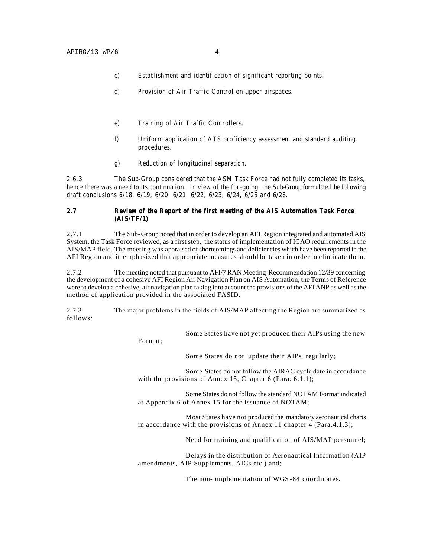- c) Establishment and identification of significant reporting points.
- d) Provision of Air Traffic Control on upper airspaces.
- e) Training of Air Traffic Controllers.
- f) Uniform application of ATS proficiency assessment and standard auditing procedures.
- g) Reduction of longitudinal separation.

2.6.3 The Sub-Group considered that the ASM Task Force had not fully completed its tasks, hence there was a need to its continuation. In view of the foregoing, the Sub-Group formulated the following draft conclusions 6/18, 6/19, 6/20, 6/21, 6/22, 6/23, 6/24, 6/25 and 6/26.

#### **2.7 Review of the Report of the first meeting of the AIS Automation Task Force (AIS/TF/1)**

2.7.1 The Sub-Group noted that in order to develop an AFI Region integrated and automated AIS System, the Task Force reviewed, as a first step, the status of implementation of ICAO requirements in the AIS/MAP field. The meeting was appraised of shortcomings and deficiencies which have been reported in the AFI Region and it emphasized that appropriate measures should be taken in order to eliminate them.

2.7.2 The meeting noted that pursuant to AFI/7 RAN Meeting Recommendation 12/39 concerning the development of a cohesive AFI Region Air Navigation Plan on AIS Automation, the Terms of Reference were to develop a cohesive, air navigation plan taking into account the provisions of the AFI ANP as well as the method of application provided in the associated FASID.

2.7.3 The major problems in the fields of AIS/MAP affecting the Region are summarized as follows:

Some States have not yet produced their AIPs using the new

Format;

Some States do not update their AIPs regularly;

Some States do not follow the AIRAC cycle date in accordance with the provisions of Annex 15, Chapter 6 (Para. 6.1.1);

Some States do not follow the standard NOTAM Format indicated at Appendix 6 of Annex 15 for the issuance of NOTAM;

Most States have not produced the mandatory aeronautical charts in accordance with the provisions of Annex 11 chapter 4 (Para.4.1.3);

Need for training and qualification of AIS/MAP personnel;

Delays in the distribution of Aeronautical Information (AIP amendments, AIP Supplements, AICs etc.) and;

The non- implementation of WGS-84 coordinates.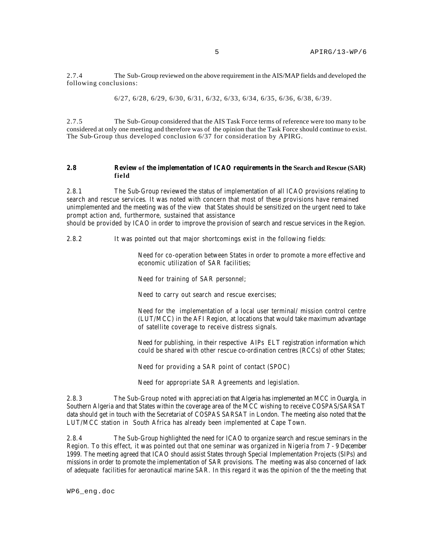2.7.4 The Sub-Group reviewed on the above requirement in the AIS/MAP fields and developed the following conclusions:

6/27, 6/28, 6/29, 6/30, 6/31, 6/32, 6/33, 6/34, 6/35, 6/36, 6/38, 6/39.

2.7.5 The Sub-Group considered that the AIS Task Force terms of reference were too many to be considered at only one meeting and therefore was of the opinion that the Task Force should continue to exist. The Sub-Group thus developed conclusion 6/37 for consideration by APIRG.

#### **2.8 Review of the implementation of ICAO requirements in the Search and Rescue (SAR) field**

2.8.1 The Sub-Group reviewed the status of implementation of all ICAO provisions relating to search and rescue services. It was noted with concern that most of these provisions have remained unimplemented and the meeting was of the view that States should be sensitized on the urgent need to take prompt action and, furthermore, sustained that assistance

should be provided by ICAO in order to improve the provision of search and rescue services in the Region.

2.8.2 It was pointed out that major shortcomings exist in the following fields:

Need for co-operation between States in order to promote a more effective and economic utilization of SAR facilities;

Need for training of SAR personnel;

Need to carry out search and rescue exercises;

Need for the implementation of a local user terminal/ mission control centre (LUT/MCC) in the AFI Region, at locations that would take maximum advantage of satellite coverage to receive distress signals.

Need for publishing, in their respective AIPs ELT registration information which could be shared with other rescue co-ordination centres (RCCs) of other States;

Need for providing a SAR point of contact (SPOC)

Need for appropriate SAR Agreements and legislation.

2.8.3 The Sub-Group noted with appreciation that Algeria has implemented an MCC in Ouargla, in Southern Algeria and that States within the coverage area of the MCC wishing to receive COSPAS/SARSAT data should get in touch with the Secretariat of COSPAS SARSAT in London. The meeting also noted that the LUT/MCC station in South Africa has already been implemented at Cape Town.

2.8.4 The Sub-Group highlighted the need for ICAO to organize search and rescue seminars in the Region. To this effect, it was pointed out that one seminar was organized in Nigeria from 7 - 9 December 1999. The meeting agreed that ICAO should assist States through Special Implementation Projects (SIPs) and missions in order to promote the implementation of SAR provisions. The meeting was also concerned of lack of adequate facilities for aeronautical marine SAR. In this regard it was the opinion of the the meeting that

WP6\_eng.doc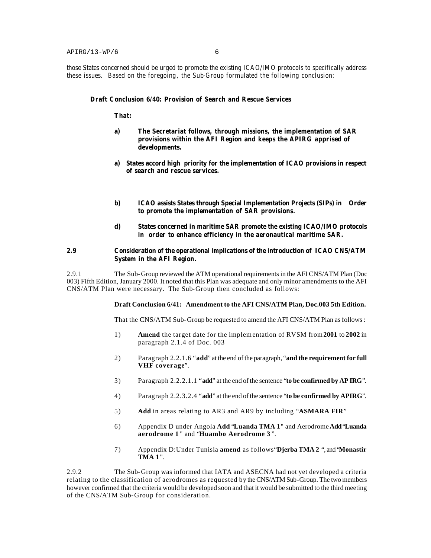those States concerned should be urged to promote the existing ICAO/IMO protocols to specifically address these issues. Based on the foregoing, the Sub-Group formulated the following conclusion:

#### **Draft Conclusion 6/40: Provision of Search and Rescue Services**

**That:**

- **a) The Secretariat follows, through missions, the implementation of SAR provisions within the AFI Region and keeps the APIRG apprised of developments.**
- **a) States accord high priority for the implementation of ICAO provisions in respect of search and rescue services.**
- **b) ICAO assists States through Special Implementation Projects (SIPs) in Order to promote the implementation of SAR provisions.**
- **d) States concerned in maritime SAR promote the existing ICAO/IMO protocols in order to enhance efficiency in the aeronautical maritime SAR.**

#### **2.9 Consideration of the operational implications of the introduction of ICAO CNS/ATM System in the AFI Region.**

2.9.1 The Sub-Group reviewed the ATM operational requirements in the AFI CNS/ATM Plan (Doc 003) Fifth Edition, January 2000. It noted that this Plan was adequate and only minor amendments to the AFI CNS/ATM Plan were necessary. The Sub-Group then concluded as follows:

#### **Draft Conclusion 6/41: Amendment to the AFI CNS/ATM Plan, Doc.003 5th Edition.**

That the CNS/ATM Sub-Group be requested to amend the AFI CNS/ATM Plan as follows :

- 1) **Amend** the target date for the implementation of RVSM from **2001** to **2002** in paragraph 2.1.4 of Doc. 003
- 2) Paragraph 2.2.1.6 "**add**" at the end of the paragraph, "**and the requirement for full VHF coverage**".
- 3) Paragraph 2.2.2.1.1 "**add**" at the end of the sentence "**to be confirmed by AP IRG**".
- 4) Paragraph 2.2.3.2.4 "**add**" at the end of the sentence "**to be confirmed by APIRG**".
- 5) **Add** in areas relating to AR3 and AR9 by including "**ASMARA FIR**"
- 6) Appendix D under Angola **Add** "**Luanda TMA 1**" and Aerodrome **Add** "**Luanda aerodrome 1** " and "**Huambo Aerodrome 3** ".
- 7) Appendix D:Under Tunisia **amend** as follows"**Djerba TMA 2** ", and "**Monastir TMA 1** ".

2.9.2 The Sub-Group was informed that IATA and ASECNA had not yet developed a criteria relating to the classification of aerodromes as requested by the CNS/ATM Sub-Group. The two members however confirmed that the criteria would be developed soon and that it would be submitted to the third meeting of the CNS/ATM Sub-Group for consideration.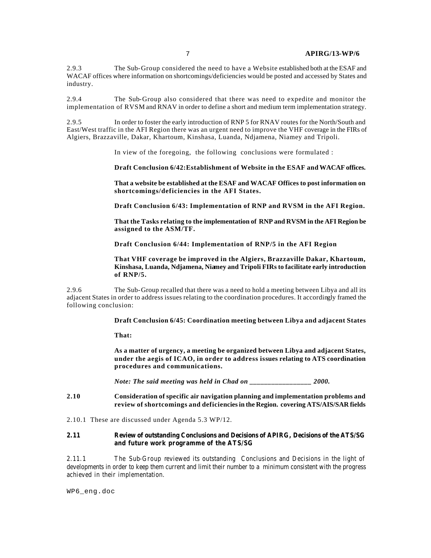2.9.3 The Sub-Group considered the need to have a Website established both at the ESAF and WACAF offices where information on shortcomings/deficiencies would be posted and accessed by States and industry.

2.9.4 The Sub-Group also considered that there was need to expedite and monitor the implementation of RVSM and RNAV in order to define a short and medium term implementation strategy.

2.9.5 In order to foster the early introduction of RNP 5 for RNAV routes for the North/South and East/West traffic in the AFI Region there was an urgent need to improve the VHF coverage in the FIRs of Algiers, Brazzaville, Dakar, Khartoum, Kinshasa, Luanda, Ndjamena, Niamey and Tripoli.

In view of the foregoing, the following conclusions were formulated :

**Draft Conclusion 6/42:Establishment of Website in the ESAF and WACAF offices.**

**That a website be established at the ESAF and WACAF Offices to post information on shortcomings/deficiencies in the AFI States.**

**Draft Conclusion 6/43: Implementation of RNP and RVSM in the AFI Region.**

**That the Tasks relating to the implementation of RNP and RVSM in the AFI Region be assigned to the ASM/TF.**

**Draft Conclusion 6/44: Implementation of RNP/5 in the AFI Region** 

**That VHF coverage be improved in the Algiers, Brazzaville Dakar, Khartoum, Kinshasa, Luanda, Ndjamena, Niamey and Tripoli FIRs to facilitate early introduction of RNP/5.**

2.9.6 The Sub-Group recalled that there was a need to hold a meeting between Libya and all its adjacent States in order to address issues relating to the coordination procedures. It accordingly framed the following conclusion:

**Draft Conclusion 6/45: Coordination meeting between Libya and adjacent States**

**That:**

**As a matter of urgency, a meeting be organized between Libya and adjacent States, under the aegis of ICAO, in order to address issues relating to ATS coordination procedures and communications.**

*Note: The said meeting was held in Chad on* 2000.

**2.10 Consideration of specific air navigation planning and implementation problems and review of shortcomings and deficiencies in the Region. covering ATS/AIS/SAR fields**

2.10.1 These are discussed under Agenda 5.3 WP/12.

**2.11 Review of outstanding Conclusions and Decisions of APIRG, Decisions of the ATS/SG and future work programme of the ATS/SG**

2.11.1 The Sub-Group reviewed its outstanding Conclusions and Decisions in the light of developments in order to keep them current and limit their number to a minimum consistent with the progress achieved in their implementation.

WP6\_eng.doc